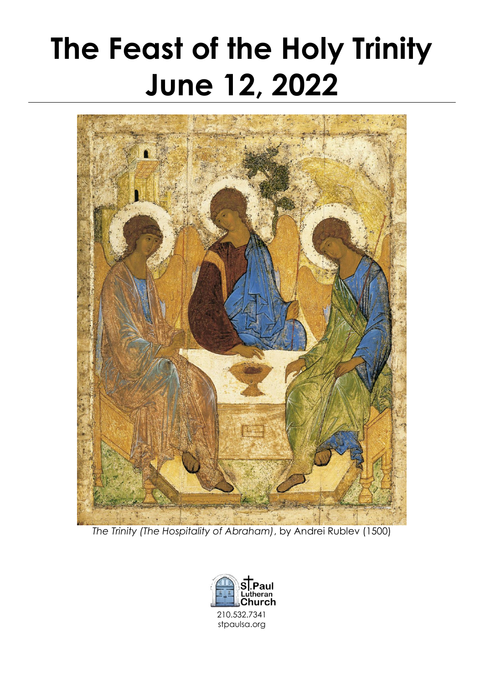# **The Feast of the Holy Trinity June 12, 2022**



*The Trinity (The Hospitality of Abraham)*, by Andrei Rublev (1500)

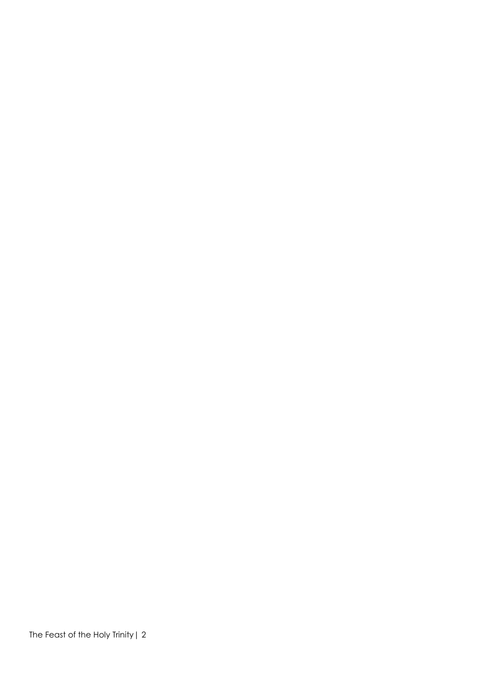The Feast of the Holy Trinity| 2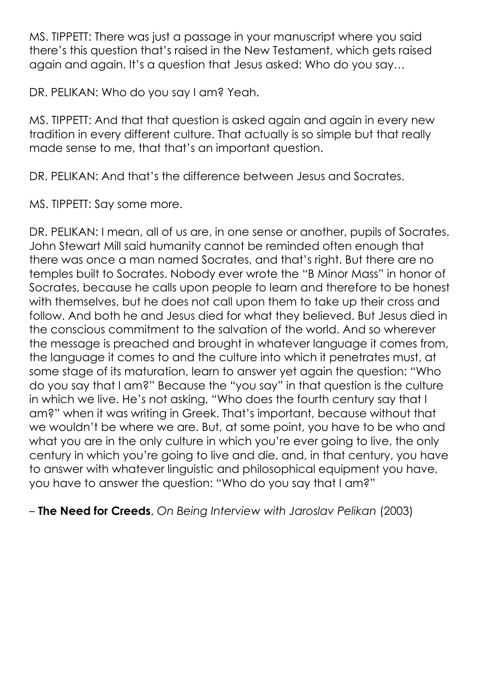MS. TIPPETT: There was just a passage in your manuscript where you said there's this question that's raised in the New Testament, which gets raised again and again. It's a question that Jesus asked: Who do you say…

DR. PELIKAN: Who do you say I am? Yeah.

MS. TIPPETT: And that that question is asked again and again in every new tradition in every different culture. That actually is so simple but that really made sense to me, that that's an important question.

DR. PELIKAN: And that's the difference between Jesus and Socrates.

MS. TIPPETT: Say some more.

DR. PELIKAN: I mean, all of us are, in one sense or another, pupils of Socrates. John Stewart Mill said humanity cannot be reminded often enough that there was once a man named Socrates, and that's right. But there are no temples built to Socrates. Nobody ever wrote the "B Minor Mass" in honor of Socrates, because he calls upon people to learn and therefore to be honest with themselves, but he does not call upon them to take up their cross and follow. And both he and Jesus died for what they believed. But Jesus died in the conscious commitment to the salvation of the world. And so wherever the message is preached and brought in whatever language it comes from, the language it comes to and the culture into which it penetrates must, at some stage of its maturation, learn to answer yet again the question: "Who do you say that I am?" Because the "you say" in that question is the culture in which we live. He's not asking, "Who does the fourth century say that I am?" when it was writing in Greek. That's important, because without that we wouldn't be where we are. But, at some point, you have to be who and what you are in the only culture in which you're ever going to live, the only century in which you're going to live and die, and, in that century, you have to answer with whatever linguistic and philosophical equipment you have, you have to answer the question: "Who do you say that I am?"

– **The Need for Creeds**, *On Being Interview with Jaroslav Pelikan* (2003)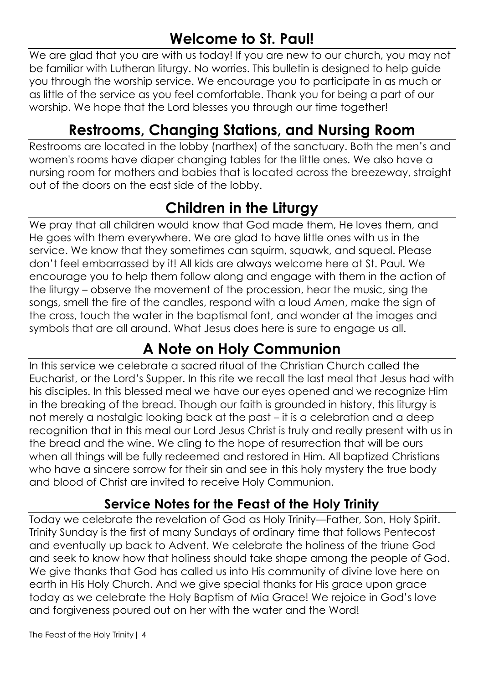### **Welcome to St. Paul!**

We are glad that you are with us today! If you are new to our church, you may not be familiar with Lutheran liturgy. No worries. This bulletin is designed to help guide you through the worship service. We encourage you to participate in as much or as little of the service as you feel comfortable. Thank you for being a part of our worship. We hope that the Lord blesses you through our time together!

### **Restrooms, Changing Stations, and Nursing Room**

Restrooms are located in the lobby (narthex) of the sanctuary. Both the men's and women's rooms have diaper changing tables for the little ones. We also have a nursing room for mothers and babies that is located across the breezeway, straight out of the doors on the east side of the lobby.

### **Children in the Liturgy**

We pray that all children would know that God made them, He loves them, and He goes with them everywhere. We are glad to have little ones with us in the service. We know that they sometimes can squirm, squawk, and squeal. Please don't feel embarrassed by it! All kids are always welcome here at St. Paul. We encourage you to help them follow along and engage with them in the action of the liturgy – observe the movement of the procession, hear the music, sing the songs, smell the fire of the candles, respond with a loud *Amen*, make the sign of the cross, touch the water in the baptismal font, and wonder at the images and symbols that are all around. What Jesus does here is sure to engage us all.

### **A Note on Holy Communion**

In this service we celebrate a sacred ritual of the Christian Church called the Eucharist, or the Lord's Supper. In this rite we recall the last meal that Jesus had with his disciples. In this blessed meal we have our eyes opened and we recognize Him in the breaking of the bread. Though our faith is grounded in history, this liturgy is not merely a nostalgic looking back at the past – it is a celebration and a deep recognition that in this meal our Lord Jesus Christ is truly and really present with us in the bread and the wine. We cling to the hope of resurrection that will be ours when all things will be fully redeemed and restored in Him. All baptized Christians who have a sincere sorrow for their sin and see in this holy mystery the true body and blood of Christ are invited to receive Holy Communion.

#### **Service Notes for the Feast of the Holy Trinity**

Today we celebrate the revelation of God as Holy Trinity—Father, Son, Holy Spirit. Trinity Sunday is the first of many Sundays of ordinary time that follows Pentecost and eventually up back to Advent. We celebrate the holiness of the triune God and seek to know how that holiness should take shape among the people of God. We give thanks that God has called us into His community of divine love here on earth in His Holy Church. And we give special thanks for His grace upon grace today as we celebrate the Holy Baptism of Mia Grace! We rejoice in God's love and forgiveness poured out on her with the water and the Word!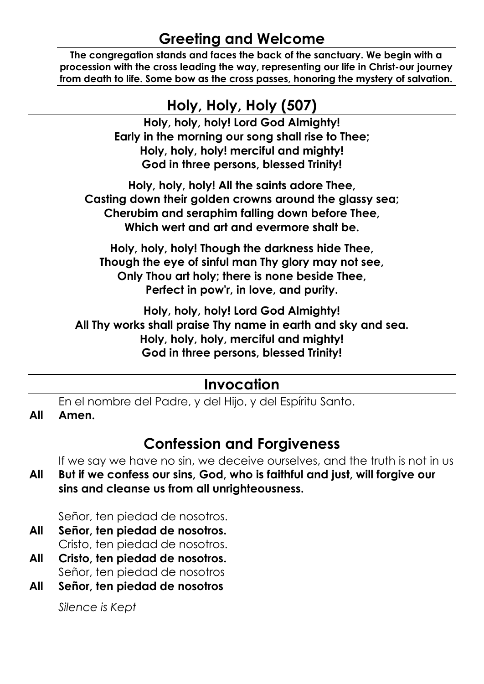#### **Greeting and Welcome**

**The congregation stands and faces the back of the sanctuary. We begin with a procession with the cross leading the way, representing our life in Christ-our journey from death to life. Some bow as the cross passes, honoring the mystery of salvation.**

### **Holy, Holy, Holy (507)**

**Holy, holy, holy! Lord God Almighty! Early in the morning our song shall rise to Thee; Holy, holy, holy! merciful and mighty! God in three persons, blessed Trinity!**

**Holy, holy, holy! All the saints adore Thee, Casting down their golden crowns around the glassy sea; Cherubim and seraphim falling down before Thee, Which wert and art and evermore shalt be.**

**Holy, holy, holy! Though the darkness hide Thee, Though the eye of sinful man Thy glory may not see, Only Thou art holy; there is none beside Thee, Perfect in pow'r, in love, and purity.**

**Holy, holy, holy! Lord God Almighty! All Thy works shall praise Thy name in earth and sky and sea. Holy, holy, holy, merciful and mighty! God in three persons, blessed Trinity!**

#### **Invocation**

En el nombre del Padre, y del Hijo, y del Espíritu Santo.

#### **All Amen.**

### **Confession and Forgiveness**

If we say we have no sin, we deceive ourselves, and the truth is not in us

**All But if we confess our sins, God, who is faithful and just, will forgive our sins and cleanse us from all unrighteousness.**

Señor, ten piedad de nosotros.

- **All Señor, ten piedad de nosotros.** Cristo, ten piedad de nosotros.
- **All Cristo, ten piedad de nosotros.** Señor, ten piedad de nosotros
- **All Señor, ten piedad de nosotros**

*Silence is Kept*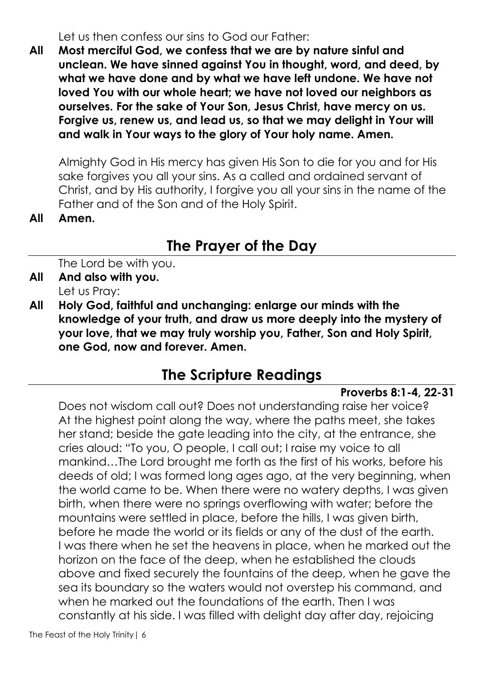Let us then confess our sins to God our Father:

**All Most merciful God, we confess that we are by nature sinful and unclean. We have sinned against You in thought, word, and deed, by what we have done and by what we have left undone. We have not loved You with our whole heart; we have not loved our neighbors as ourselves. For the sake of Your Son, Jesus Christ, have mercy on us. Forgive us, renew us, and lead us, so that we may delight in Your will and walk in Your ways to the glory of Your holy name. Amen.**

Almighty God in His mercy has given His Son to die for you and for His sake forgives you all your sins. As a called and ordained servant of Christ, and by His authority, I forgive you all your sins in the name of the Father and of the Son and of the Holy Spirit.

**All Amen.**

### **The Prayer of the Day**

The Lord be with you.

- **All And also with you.** Let us Pray:
- **All Holy God, faithful and unchanging: enlarge our minds with the knowledge of your truth, and draw us more deeply into the mystery of your love, that we may truly worship you, Father, Son and Holy Spirit, one God, now and forever. Amen.**

#### **The Scripture Readings**

#### **Proverbs 8:1-4, 22-31**

Does not wisdom call out? Does not understanding raise her voice? At the highest point along the way, where the paths meet, she takes her stand; beside the gate leading into the city, at the entrance, she cries aloud: "To you, O people, I call out; I raise my voice to all mankind…The Lord brought me forth as the first of his works, before his deeds of old; I was formed long ages ago, at the very beginning, when the world came to be. When there were no watery depths, I was given birth, when there were no springs overflowing with water; before the mountains were settled in place, before the hills, I was given birth, before he made the world or its fields or any of the dust of the earth. I was there when he set the heavens in place, when he marked out the horizon on the face of the deep, when he established the clouds above and fixed securely the fountains of the deep, when he gave the sea its boundary so the waters would not overstep his command, and when he marked out the foundations of the earth. Then I was constantly at his side. I was filled with delight day after day, rejoicing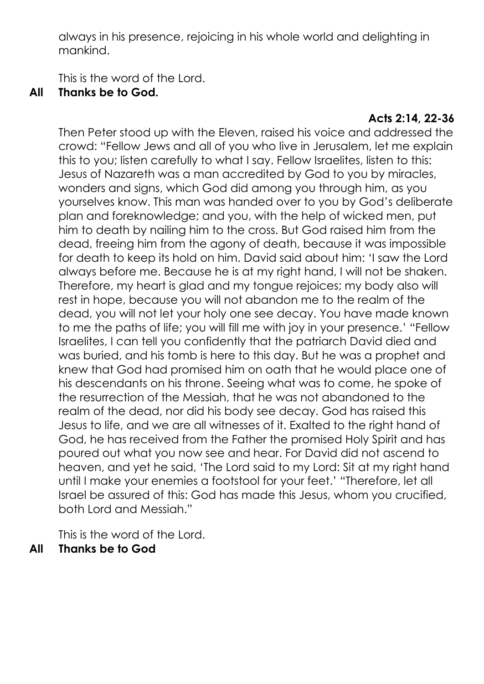always in his presence, rejoicing in his whole world and delighting in mankind.

This is the word of the Lord.

#### **All Thanks be to God.**

#### **Acts 2:14, 22-36**

Then Peter stood up with the Eleven, raised his voice and addressed the crowd: "Fellow Jews and all of you who live in Jerusalem, let me explain this to you; listen carefully to what I say. Fellow Israelites, listen to this: Jesus of Nazareth was a man accredited by God to you by miracles, wonders and signs, which God did among you through him, as you yourselves know. This man was handed over to you by God's deliberate plan and foreknowledge; and you, with the help of wicked men, put him to death by nailing him to the cross. But God raised him from the dead, freeing him from the agony of death, because it was impossible for death to keep its hold on him. David said about him: 'I saw the Lord always before me. Because he is at my right hand, I will not be shaken. Therefore, my heart is glad and my tongue rejoices; my body also will rest in hope, because you will not abandon me to the realm of the dead, you will not let your holy one see decay. You have made known to me the paths of life; you will fill me with joy in your presence.' "Fellow Israelites, I can tell you confidently that the patriarch David died and was buried, and his tomb is here to this day. But he was a prophet and knew that God had promised him on oath that he would place one of his descendants on his throne. Seeing what was to come, he spoke of the resurrection of the Messiah, that he was not abandoned to the realm of the dead, nor did his body see decay. God has raised this Jesus to life, and we are all witnesses of it. Exalted to the right hand of God, he has received from the Father the promised Holy Spirit and has poured out what you now see and hear. For David did not ascend to heaven, and yet he said, 'The Lord said to my Lord: Sit at my right hand until I make your enemies a footstool for your feet.' "Therefore, let all Israel be assured of this: God has made this Jesus, whom you crucified, both Lord and Messiah."

This is the word of the Lord.

#### **All****Thanks be to God**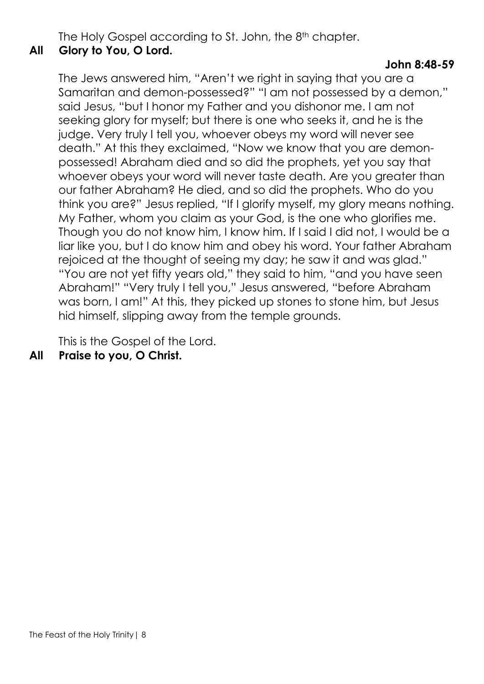The Holy Gospel according to St. John, the 8<sup>th</sup> chapter.

#### **All****Glory to You, O Lord.**

#### **John 8:48-59**

The Jews answered him, "Aren't we right in saying that you are a Samaritan and demon-possessed?" "I am not possessed by a demon," said Jesus, "but I honor my Father and you dishonor me. I am not seeking glory for myself; but there is one who seeks it, and he is the judge. Very truly I tell you, whoever obeys my word will never see death." At this they exclaimed, "Now we know that you are demonpossessed! Abraham died and so did the prophets, yet you say that whoever obeys your word will never taste death. Are you greater than our father Abraham? He died, and so did the prophets. Who do you think you are?" Jesus replied, "If I glorify myself, my glory means nothing. My Father, whom you claim as your God, is the one who glorifies me. Though you do not know him, I know him. If I said I did not, I would be a liar like you, but I do know him and obey his word. Your father Abraham rejoiced at the thought of seeing my day; he saw it and was glad." "You are not yet fifty years old," they said to him, "and you have seen Abraham!" "Very truly I tell you," Jesus answered, "before Abraham was born, I am!" At this, they picked up stones to stone him, but Jesus hid himself, slipping away from the temple grounds.

This is the Gospel of the Lord.

**All****Praise to you, O Christ.**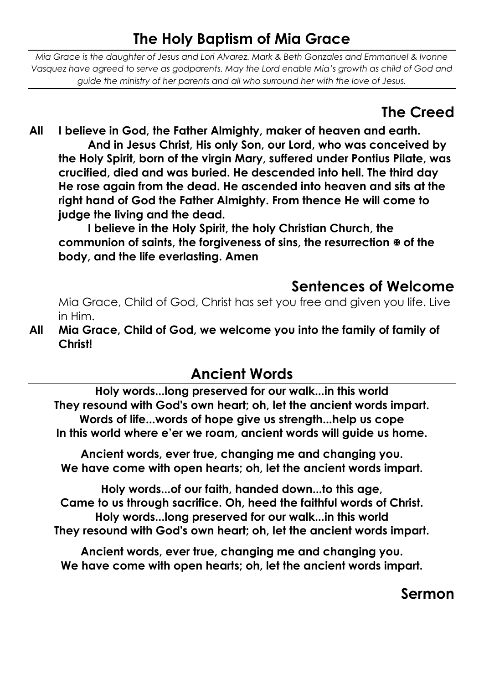### **The Holy Baptism of Mia Grace**

*Mia Grace is the daughter of Jesus and Lori Alvarez. Mark & Beth Gonzales and Emmanuel & Ivonne Vasquez have agreed to serve as godparents. May the Lord enable Mia's growth as child of God and guide the ministry of her parents and all who surround her with the love of Jesus.*

### **The Creed**

**All I believe in God, the Father Almighty, maker of heaven and earth. And in Jesus Christ, His only Son, our Lord, who was conceived by the Holy Spirit, born of the virgin Mary, suffered under Pontius Pilate, was crucified, died and was buried. He descended into hell. The third day He rose again from the dead. He ascended into heaven and sits at the right hand of God the Father Almighty. From thence He will come to judge the living and the dead.** 

**I believe in the Holy Spirit, the holy Christian Church, the communion of saints, the forgiveness of sins, the resurrection of the body, and the life everlasting. Amen**

#### **Sentences of Welcome**

Mia Grace, Child of God, Christ has set you free and given you life. Live in Him.

**All Mia Grace, Child of God, we welcome you into the family of family of Christ!**

#### **Ancient Words**

**Holy words...long preserved for our walk...in this world They resound with God's own heart; oh, let the ancient words impart. Words of life...words of hope give us strength...help us cope In this world where e'er we roam, ancient words will guide us home.**

**Ancient words, ever true, changing me and changing you. We have come with open hearts; oh, let the ancient words impart.**

**Holy words...of our faith, handed down...to this age, Came to us through sacrifice. Oh, heed the faithful words of Christ. Holy words...long preserved for our walk...in this world They resound with God's own heart; oh, let the ancient words impart.**

**Ancient words, ever true, changing me and changing you. We have come with open hearts; oh, let the ancient words impart.**

#### **Sermon**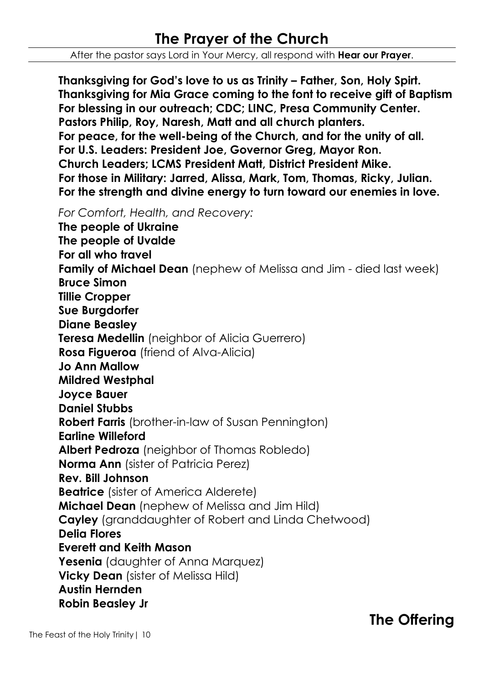### **The Prayer of the Church**

After the pastor says Lord in Your Mercy, all respond with **Hear our Prayer**.

**Thanksgiving for God's love to us as Trinity – Father, Son, Holy Spirt. Thanksgiving for Mia Grace coming to the font to receive gift of Baptism For blessing in our outreach; CDC; LINC, Presa Community Center. Pastors Philip, Roy, Naresh, Matt and all church planters. For peace, for the well-being of the Church, and for the unity of all. For U.S. Leaders: President Joe, Governor Greg, Mayor Ron. Church Leaders; LCMS President Matt, District President Mike. For those in Military: Jarred, Alissa, Mark, Tom, Thomas, Ricky, Julian. For the strength and divine energy to turn toward our enemies in love.** 

*For Comfort, Health, and Recovery:* **The people of Ukraine The people of Uvalde For all who travel Family of Michael Dean** (nephew of Melissa and Jim - died last week) **Bruce Simon Tillie Cropper Sue Burgdorfer Diane Beasley Teresa Medellin** (neighbor of Alicia Guerrero) **Rosa Figueroa** (friend of Alva-Alicia) **Jo Ann Mallow Mildred Westphal Joyce Bauer Daniel Stubbs Robert Farris** (brother-in-law of Susan Pennington) **Earline Willeford Albert Pedroza** (neighbor of Thomas Robledo) **Norma Ann** (sister of Patricia Perez) **Rev. Bill Johnson Beatrice** (sister of America Alderete) **Michael Dean** (nephew of Melissa and Jim Hild) **Cayley** (granddaughter of Robert and Linda Chetwood) **Delia Flores Everett and Keith Mason Yesenia** (daughter of Anna Marquez) **Vicky Dean** (sister of Melissa Hild) **Austin Hernden Robin Beasley Jr**

**The Offering**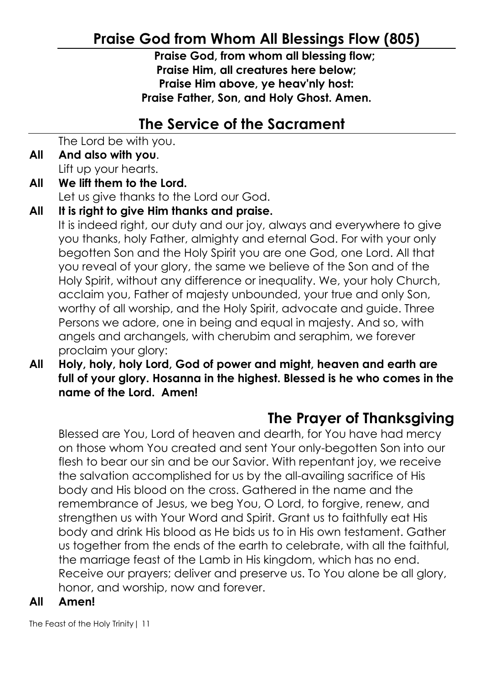**Praise God, from whom all blessing flow; Praise Him, all creatures here below; Praise Him above, ye heav'nly host: Praise Father, Son, and Holy Ghost. Amen.**

### **The Service of the Sacrament**

The Lord be with you.

**All And also with you**. Lift up your hearts.

**All We lift them to the Lord.**  Let us give thanks to the Lord our God.

# **All It is right to give Him thanks and praise.**

It is indeed right, our duty and our joy, always and everywhere to give you thanks, holy Father, almighty and eternal God. For with your only begotten Son and the Holy Spirit you are one God, one Lord. All that you reveal of your glory, the same we believe of the Son and of the Holy Spirit, without any difference or inequality. We, your holy Church, acclaim you, Father of majesty unbounded, your true and only Son, worthy of all worship, and the Holy Spirit, advocate and guide. Three Persons we adore, one in being and equal in majesty. And so, with angels and archangels, with cherubim and seraphim, we forever proclaim your glory:

**All Holy, holy, holy Lord, God of power and might, heaven and earth are full of your glory. Hosanna in the highest. Blessed is he who comes in the name of the Lord. Amen!**

### **The Prayer of Thanksgiving**

Blessed are You, Lord of heaven and dearth, for You have had mercy on those whom You created and sent Your only-begotten Son into our flesh to bear our sin and be our Savior. With repentant joy, we receive the salvation accomplished for us by the all-availing sacrifice of His body and His blood on the cross. Gathered in the name and the remembrance of Jesus, we beg You, O Lord, to forgive, renew, and strengthen us with Your Word and Spirit. Grant us to faithfully eat His body and drink His blood as He bids us to in His own testament. Gather us together from the ends of the earth to celebrate, with all the faithful, the marriage feast of the Lamb in His kingdom, which has no end. Receive our prayers; deliver and preserve us. To You alone be all glory, honor, and worship, now and forever.

#### **All Amen!**

The Feast of the Holy Trinity| 11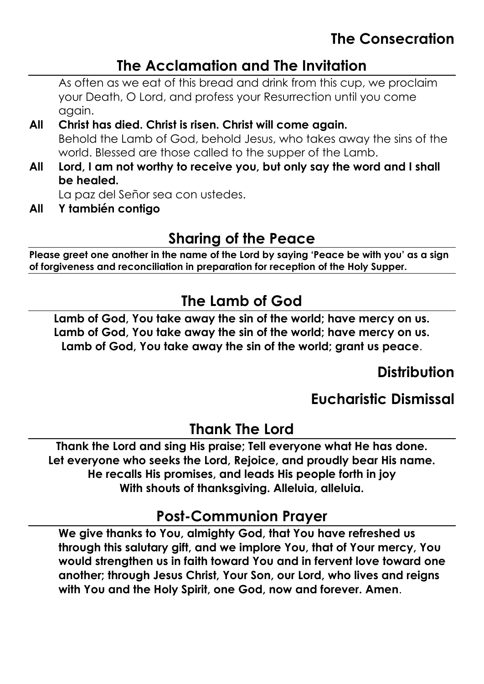### **The Consecration**

#### **The Acclamation and The Invitation**

As often as we eat of this bread and drink from this cup, we proclaim your Death, O Lord, and profess your Resurrection until you come again.

- **All Christ has died. Christ is risen. Christ will come again.**  Behold the Lamb of God, behold Jesus, who takes away the sins of the world. Blessed are those called to the supper of the Lamb.
- **All Lord, I am not worthy to receive you, but only say the word and I shall be healed.**

La paz del Señor sea con ustedes.

**All Y también contigo**

### **Sharing of the Peace**

**Please greet one another in the name of the Lord by saying 'Peace be with you' as a sign of forgiveness and reconciliation in preparation for reception of the Holy Supper.** 

### **The Lamb of God**

**Lamb of God, You take away the sin of the world; have mercy on us. Lamb of God, You take away the sin of the world; have mercy on us. Lamb of God, You take away the sin of the world; grant us peace**.

### **Distribution**

### **Eucharistic Dismissal**

### **Thank The Lord**

**Thank the Lord and sing His praise; Tell everyone what He has done. Let everyone who seeks the Lord, Rejoice, and proudly bear His name. He recalls His promises, and leads His people forth in joy With shouts of thanksgiving. Alleluia, alleluia.**

#### **Post-Communion Prayer**

**We give thanks to You, almighty God, that You have refreshed us through this salutary gift, and we implore You, that of Your mercy, You would strengthen us in faith toward You and in fervent love toward one another; through Jesus Christ, Your Son, our Lord, who lives and reigns with You and the Holy Spirit, one God, now and forever. Amen**.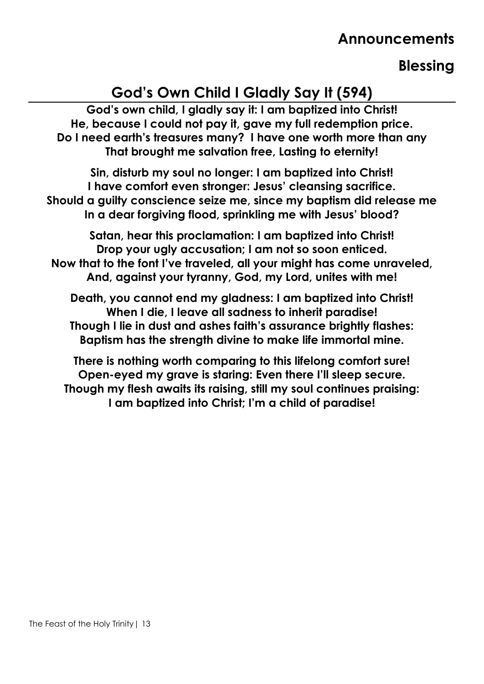#### **Announcements**

#### **Blessing**

### **God's Own Child I Gladly Say It (594)**

**God's own child, I gladly say it: I am baptized into Christ! He, because I could not pay it, gave my full redemption price. Do I need earth's treasures many? I have one worth more than any That brought me salvation free, Lasting to eternity!**

**Sin, disturb my soul no longer: I am baptized into Christ! I have comfort even stronger: Jesus' cleansing sacrifice. Should a guilty conscience seize me, since my baptism did release me In a dear forgiving flood, sprinkling me with Jesus' blood?**

**Satan, hear this proclamation: I am baptized into Christ! Drop your ugly accusation; I am not so soon enticed. Now that to the font I've traveled, all your might has come unraveled, And, against your tyranny, God, my Lord, unites with me!**

**Death, you cannot end my gladness: I am baptized into Christ! When I die, I leave all sadness to inherit paradise! Though I lie in dust and ashes faith's assurance brightly flashes: Baptism has the strength divine to make life immortal mine.**

**There is nothing worth comparing to this lifelong comfort sure! Open-eyed my grave is staring: Even there I'll sleep secure. Though my flesh awaits its raising, still my soul continues praising: I am baptized into Christ; I'm a child of paradise!**